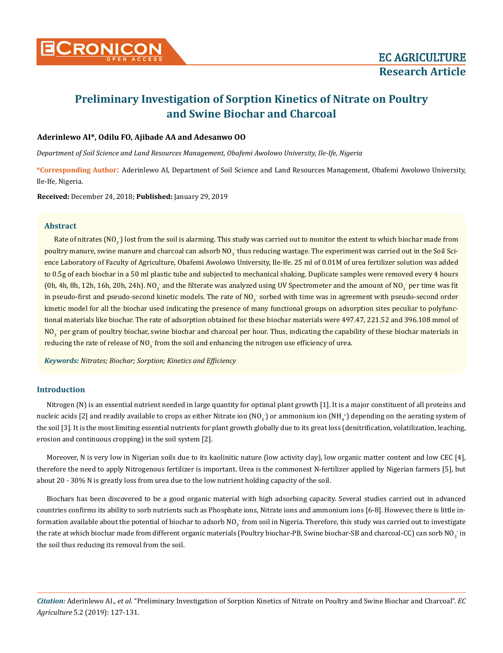

# **Preliminary Investigation of Sorption Kinetics of Nitrate on Poultry and Swine Biochar and Charcoal**

# **Aderinlewo AI\*, Odilu FO, Ajibade AA and Adesanwo OO**

*Department of Soil Science and Land Resources Management, Obafemi Awolowo University, Ile-Ife, Nigeria*

**\*Corresponding Author**: Aderinlewo AI, Department of Soil Science and Land Resources Management, Obafemi Awolowo University, Ile-Ife, Nigeria.

**Received:** December 24, 2018; **Published:** January 29, 2019

## **Abstract**

Rate of nitrates (NO<sub>3</sub>) lost from the soil is alarming. This study was carried out to monitor the extent to which biochar made from poultry manure, swine manure and charcoal can adsorb NO $_3^{\cdot}$  thus reducing wastage. The experiment was carried out in the Soil Science Laboratory of Faculty of Agriculture, Obafemi Awolowo University, Ile-Ife. 25 ml of 0.01M of urea fertilizer solution was added to 0.5g of each biochar in a 50 ml plastic tube and subjected to mechanical shaking. Duplicate samples were removed every 4 hours (0h, 4h, 8h, 12h, 16h, 20h, 24h). NO<sub>3</sub> and the filterate was analyzed using UV Spectrometer and the amount of NO<sub>3</sub> per time was fit in pseudo-first and pseudo-second kinetic models. The rate of  $N O_3$  sorbed with time was in agreement with pseudo-second order kinetic model for all the biochar used indicating the presence of many functional groups on adsorption sites peculiar to polyfunctional materials like biochar. The rate of adsorption obtained for these biochar materials were 497.47, 221.52 and 396.108 mmol of  $\rm NO_3$  per gram of poultry biochar, swine biochar and charcoal per hour. Thus, indicating the capability of these biochar materials in reducing the rate of release of NO $_3^{\circ}$  from the soil and enhancing the nitrogen use efficiency of urea.

*Keywords: Nitrates; Biochar; Sorption; Kinetics and Efficiency*

# **Introduction**

Nitrogen (N) is an essential nutrient needed in large quantity for optimal plant growth [1]. It is a major constituent of all proteins and nucleic acids [2] and readily available to crops as either Nitrate ion (NO<sub>3</sub>) or ammonium ion (NH<sub>4</sub>+) depending on the aerating system of the soil [3]. It is the most limiting essential nutrients for plant growth globally due to its great loss (denitrification, volatilization, leaching, erosion and continuous cropping) in the soil system [2].

Moreover, N is very low in Nigerian soils due to its kaolinitic nature (low activity clay), low organic matter content and low CEC [4], therefore the need to apply Nitrogenous fertilizer is important. Urea is the commonest N-fertilizer applied by Nigerian farmers [5], but about 20 - 30% N is greatly loss from urea due to the low nutrient holding capacity of the soil.

Biochars has been discovered to be a good organic material with high adsorbing capacity. Several studies carried out in advanced countries confirms its ability to sorb nutrients such as Phosphate ions, Nitrate ions and ammonium ions [6-8]. However, there is little information available about the potential of biochar to adsorb NO $_3^{\cdot}$  from soil in Nigeria. Therefore, this study was carried out to investigate the rate at which biochar made from different organic materials (Poultry biochar-PB, Swine biochar-SB and charcoal-CC) can sorb NO $_3^{\rm -}$  in the soil thus reducing its removal from the soil.

*Citation:* Aderinlewo AI., *et al*. "Preliminary Investigation of Sorption Kinetics of Nitrate on Poultry and Swine Biochar and Charcoal". *EC Agriculture* 5.2 (2019): 127-131.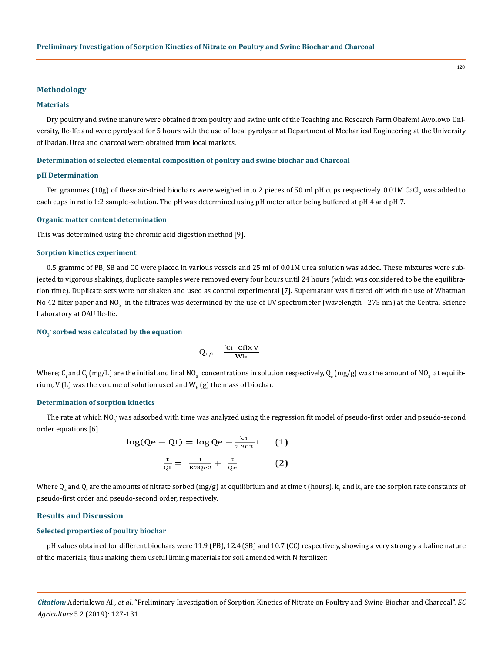#### **Methodology**

## **Materials**

Dry poultry and swine manure were obtained from poultry and swine unit of the Teaching and Research Farm Obafemi Awolowo University, Ile-Ife and were pyrolysed for 5 hours with the use of local pyrolyser at Department of Mechanical Engineering at the University of Ibadan. Urea and charcoal were obtained from local markets.

#### **Determination of selected elemental composition of poultry and swine biochar and Charcoal**

#### **pH Determination**

Ten grammes (10g) of these air-dried biochars were weighed into 2 pieces of 50 ml pH cups respectively. 0.01M CaCl<sub>2</sub> was added to each cups in ratio 1:2 sample-solution. The pH was determined using pH meter after being buffered at pH 4 and pH 7.

## **Organic matter content determination**

This was determined using the chromic acid digestion method [9].

## **Sorption kinetics experiment**

0.5 gramme of PB, SB and CC were placed in various vessels and 25 ml of 0.01M urea solution was added. These mixtures were subjected to vigorous shakings, duplicate samples were removed every four hours until 24 hours (which was considered to be the equilibration time). Duplicate sets were not shaken and used as control experimental [7]. Supernatant was filtered off with the use of Whatman No 42 filter paper and NO<sub>3</sub> in the filtrates was determined by the use of UV spectrometer (wavelength - 275 nm) at the Central Science Laboratory at OAU Ile-Ife.

# **NO3 - sorbed was calculated by the equation**

$$
Q_{e/t} = \frac{[Ci - Cf]X V}{Wb}
$$

Where; C<sub>i</sub> and C<sub>f</sub> (mg/L) are the initial and final NO<sub>3</sub> concentrations in solution respectively, Q<sub>e</sub> (mg/g) was the amount of NO<sub>3</sub> at equilibrium, V (L) was the volume of solution used and  $\bm{\mathsf{W}}_{_{\mathsf{b}}}\left(\mathsf{g}\right)$  the mass of biochar.

#### **Determination of sorption kinetics**

The rate at which NO $_3^{\cdot}$  was adsorbed with time was analyzed using the regression fit model of pseudo-first order and pseudo-second order equations [6].

$$
\log(Qe - Qt) = \log Qe - \frac{k1}{2.303}t \qquad (1)
$$

$$
\frac{t}{Qt} = \frac{1}{K2Qe2} + \frac{t}{Qe} \qquad (2)
$$

Where  ${\sf Q}_{\rm e}$  and  ${\sf Q}_{\rm t}$  are the amounts of nitrate sorbed (mg/g) at equilibrium and at time t (hours),  $\sf k^{}_1$  and  $\sf k^{}_2$  are the sorpion rate constants of pseudo-first order and pseudo-second order, respectively.

#### **Results and Discussion**

## **Selected properties of poultry biochar**

pH values obtained for different biochars were 11.9 (PB), 12.4 (SB) and 10.7 (CC) respectively, showing a very strongly alkaline nature of the materials, thus making them useful liming materials for soil amended with N fertilizer.

*Citation:* Aderinlewo AI., *et al*. "Preliminary Investigation of Sorption Kinetics of Nitrate on Poultry and Swine Biochar and Charcoal". *EC Agriculture* 5.2 (2019): 127-131.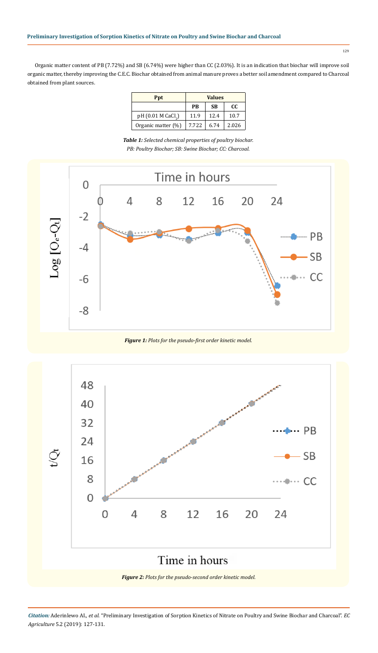Organic matter content of PB (7.72%) and SB (6.74%) were higher than CC (2.03%). It is an indication that biochar will improve soil organic matter, thereby improving the C.E.C. Biochar obtained from animal manure proves a better soil amendment compared to Charcoal obtained from plant sources.

| <b>Ppt</b>                     | <b>Values</b> |           |       |
|--------------------------------|---------------|-----------|-------|
|                                | <b>PR</b>     | <b>SB</b> | CC.   |
| pH (0.01 M CaCl <sub>2</sub> ) | 11.9          | 12.4      | 10.7  |
| Organic matter (%)             | 7.722         | 6.74      | 2.026 |

*Table 1: Selected chemical properties of poultry biochar. PB: Poultry Biochar; SB: Swine Biochar; CC: Charcoal.*



*Figure 1: Plots for the pseudo-first order kinetic model.*



*Citation:* Aderinlewo AI., *et al*. "Preliminary Investigation of Sorption Kinetics of Nitrate on Poultry and Swine Biochar and Charcoal". *EC Agriculture* 5.2 (2019): 127-131.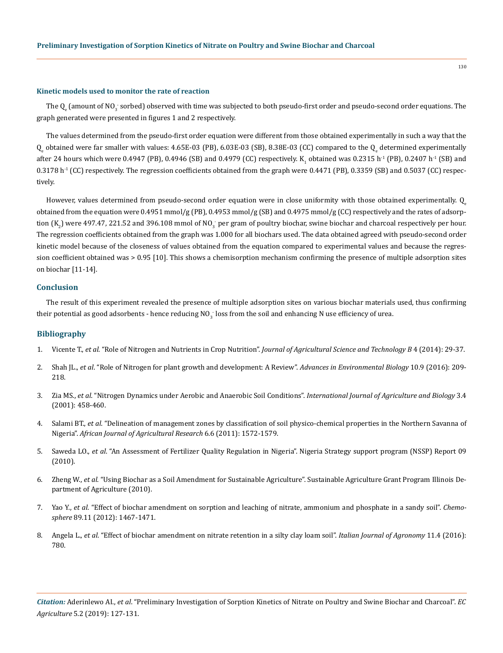#### **Kinetic models used to monitor the rate of reaction**

The  $\mathsf{Q}_{\mathrm{e}}$  (amount of NO $_3$  sorbed) observed with time was subjected to both pseudo-first order and pseudo-second order equations. The graph generated were presented in figures 1 and 2 respectively.

The values determined from the pseudo-first order equation were different from those obtained experimentally in such a way that the  $Q_{\rm e}$  obtained were far smaller with values: 4.65E-03 (PB), 6.03E-03 (SB), 8.38E-03 (CC) compared to the  $Q_{\rm e}$  determined experimentally after 24 hours which were 0.4947 (PB), 0.4946 (SB) and 0.4979 (CC) respectively.  $K_1$  obtained was 0.2315 h<sup>-1</sup> (PB), 0.2407 h<sup>-1</sup> (SB) and  $0.3178$  h<sup>-1</sup> (CC) respectively. The regression coefficients obtained from the graph were  $0.4471$  (PB),  $0.3359$  (SB) and  $0.5037$  (CC) respectively.

However, values determined from pseudo-second order equation were in close uniformity with those obtained experimentally.  $Q$ obtained from the equation were 0.4951 mmol/g (PB), 0.4953 mmol/g (SB) and 0.4975 mmol/g (CC) respectively and the rates of adsorption (K<sub>2</sub>) were 497.47, 221.52 and 396.108 mmol of NO<sub>3</sub> per gram of poultry biochar, swine biochar and charcoal respectively per hour. The regression coefficients obtained from the graph was 1.000 for all biochars used. The data obtained agreed with pseudo-second order kinetic model because of the closeness of values obtained from the equation compared to experimental values and because the regression coefficient obtained was > 0.95 [10]. This shows a chemisorption mechanism confirming the presence of multiple adsorption sites on biochar [11-14].

## **Conclusion**

The result of this experiment revealed the presence of multiple adsorption sites on various biochar materials used, thus confirming their potential as good adsorbents - hence reducing NO $_3$  loss from the soil and enhancing N use efficiency of urea.

## **Bibliography**

- 1. Vicente T., *et al*. "Role of Nitrogen and Nutrients in Crop Nutrition". *[Journal of Agricultural Science and Technology B](https://www.researchgate.net/publication/283730997_Role_of_Nitrogen_and_Nutrients_in_Crop_Nutrition)* 4 (2014): 29-37.
- 2. Shah JL., *et al*[. "Role of Nitrogen for plant growth and development: A Review".](https://www.researchgate.net/publication/309704090_Role_of_Nitrogen_for_Plant_Growth_and_Development_A_review) *Advances in Environmental Biology* 10.9 (2016): 209- [218.](https://www.researchgate.net/publication/309704090_Role_of_Nitrogen_for_Plant_Growth_and_Development_A_review)
- 3. Zia MS., *et al*[. "Nitrogen Dynamics under Aerobic and Anaerobic Soil Conditions".](http://www.fspublishers.org/published_papers/40689_..pdf) *International Journal of Agriculture and Biology* 3.4 [\(2001\): 458-460.](http://www.fspublishers.org/published_papers/40689_..pdf)
- 4. Salami BT., *et al*[. "Delineation of management zones by classification of soil physico-chemical properties in the Northern Savanna of](http://www.academicjournals.org/app/webroot/article/article1380979861_Titilope%20et%20al.pdf)  Nigeria". *[African Journal of Agricultural Research](http://www.academicjournals.org/app/webroot/article/article1380979861_Titilope%20et%20al.pdf)* 6.6 (2011): 1572-1579.
- 5. Saweda LO., *et al*[. "An Assessment of Fertilizer Quality Regulation in Nigeria". Nigeria Strategy support program \(NSSP\) Report 09](http://nssp.ifpri.info/files/2010/11/nssp-report-9_final.pdf)  [\(2010\).](http://nssp.ifpri.info/files/2010/11/nssp-report-9_final.pdf)
- 6. Zheng W., *et al*[. "Using Biochar as a Soil Amendment for Sustainable Agriculture". Sustainable Agriculture Grant Program Illinois De](http://citeseerx.ist.psu.edu/viewdoc/download?doi=10.1.1.864.9944&rep=rep1&type=pdf)[partment of Agriculture \(2010\).](http://citeseerx.ist.psu.edu/viewdoc/download?doi=10.1.1.864.9944&rep=rep1&type=pdf)
- 7. Yao Y., *et al*[. "Effect of biochar amendment on sorption and leaching of nitrate, ammonium and phosphate in a sandy soil".](https://www.ncbi.nlm.nih.gov/pubmed/22763330) *Chemosphere* [89.11 \(2012\): 1467-1471.](https://www.ncbi.nlm.nih.gov/pubmed/22763330)
- 8. Angela L., *et al*[. "Effect of biochar amendment on nitrate retention in a silty clay loam soil".](https://www.agronomy.it/index.php/agro/article/view/780) *Italian Journal of Agronomy* 11.4 (2016): [780.](https://www.agronomy.it/index.php/agro/article/view/780)